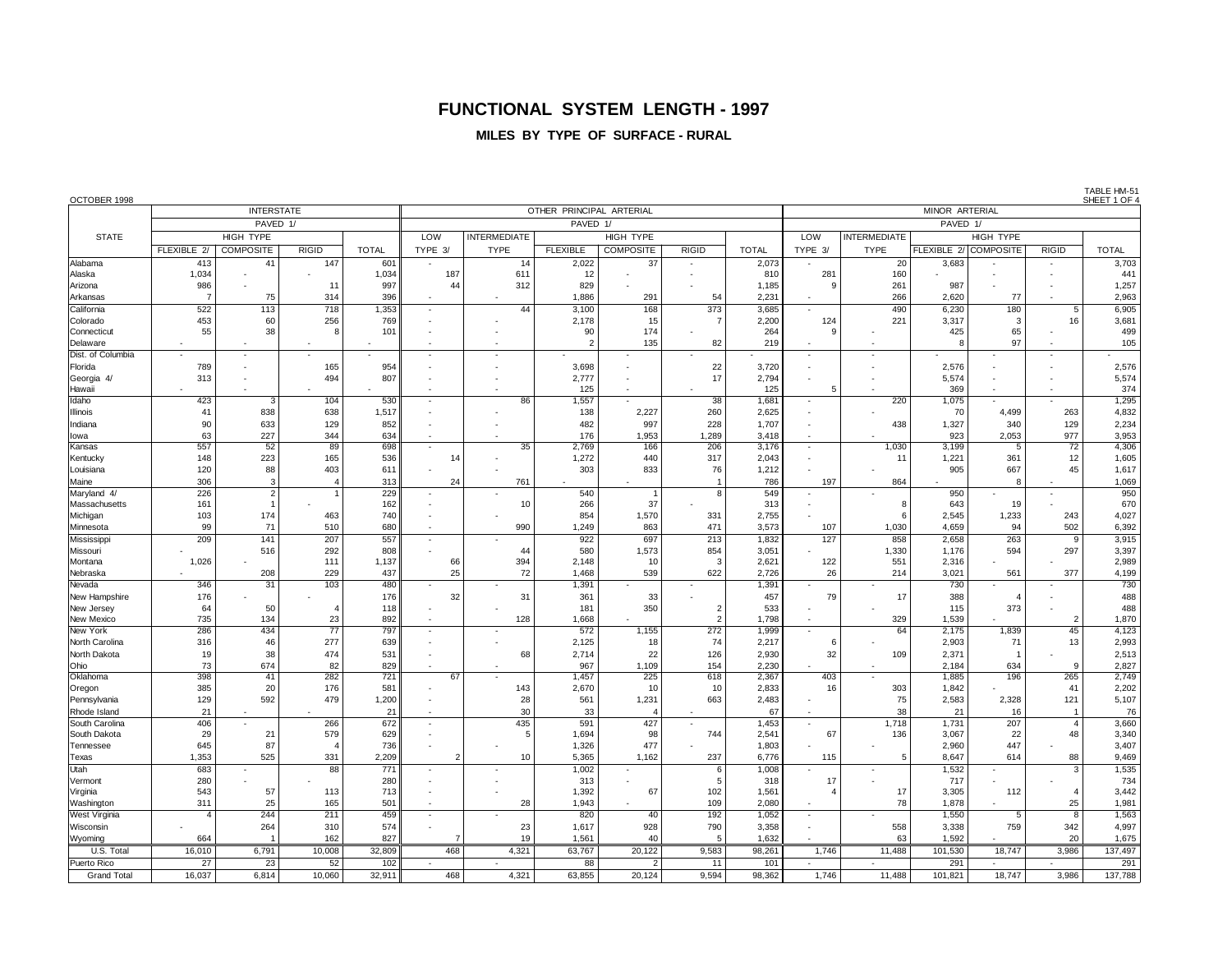### **FUNCTIONAL SYSTEM LENGTH - 1997**

#### **MILES BY TYPE OF SURFACE - RURAL**

OCTOBER 1998 SHEET 1 OF 4 INTERSTATE OTHER PRINCIPAL ARTERIAL MINOR ARTERIAL PAVED 1/ PAVED 1/ PAVED 1/ STATE HIGH TYPE LOW INTERMEDIATE HIGH TYPE LOW INTERMEDIATE HIGH TYPE FLEXIBLE 2/ COMPOSITE RIGID TOTAL TYPE 3/ TYPE FLEXIBLE COMPOSITE RIGID TOTAL TYPE THE FLEXIBLE 2/ COMPOSITE RIGID TOTAL Alabama | 413| 41| 147| 601|| | 14| 2,022| 37| - | 2,073|| - | 20| 3,683| - | - | 3,703 Alaska | 1,034 - | - | 1,034∥ 187 | 611 | 12 - | - | 810 | 281 | 160 - | - | - | 441 Arizona | 986 - | 11| 997|| 44| 312| 829| - | - | 1,185|| 9| 261| 987| - | - | 1,257 Arkansas | 7| 75| 314| 396|| - | - | 1,886| 291| 54| 2,231|| - | 266| 2,620| 77| - | 2,963 California | 522 |113 |718 1,353 - 1 44 3,100 168 373 3,685 - 1 490 6,230 180 5 6,905 Colorado | 453 |60 |256 769 - - 2,178 15 7 2,200 124 221 3,317 3 16 3,681 Connecticut | 55 | 38 | 8 | 101 || - || - || 90 || 174 - || 264 || 9 || - || 425 || 65 || - || 499 Delaware | - | - | - | - | - | - | 2| 135| 82| 219|| - | - | 8| 97| - | 105 Dist. of Columbia - - - - - - - - - - - - - - - - Florida | 789 - | 165 954 - | - | 3,698 - | 22 3,720 - | - | 2,576 - | - | 2,576 Georgia 4/ | 313 |- | 494 | 807 || - | - | 2,777 || - | 17 || 2,794 || - || - || 5,574 || - || - || 5,574 Hawaii | - | - | - | - | - | - | - | 125 | - | 125 | - | 369 | - | - | 374 Idaho | 423 | 3 | 104 | 530 |- | 86 | 1,557 - | 38 | 1,681 || | | 220 | 1,075 |- | - | 1,295 Illinois | 41 |838 | 638 | 1,517 | - | - | 138 | 2,227 | 260 | 2,625 || - | - | 70 | 4,499 | 263 | 4,832 Indiana | 90 633 129 852 - - - 482 997 228 1,707 - 438 1,327 340 129 2,234 Iowa 63 227 344 634 - - 176 1,953 1,289 3,418 - - 923 2,053 977 3,953 Kansas | 557 | 52 89 698 - 35 2,769 166 206 3,176 - 1,030 3,199 5 72 4,306 Kentucky | 148 |223 | 165 | 536 | 14 - | 1,272 | 440 | 317 |2,043 || - | 11 |1,221 | 361 | 12 | 1,605 Louisiana | 120 88 403 611 - | - | 303 833 76 1,212 - | - | 905 667 45 1,617 Maine | 306 3| 4| 313|| 24| 761| - | - | 786|| 197| 864| - | 8| - | 1,069 Maryland 4/ | 226| 2| 1| 229|| | | | 540|| 1|| 8|| 549|| | | | | | | 950| | | | | | 950 Massachusetts | 161 | 1 | - | 162 | - | 10 | 266 | 37 | - | 313 || - | 8 | 643 | 19 - | 670 Michigan | 103 |174 | 463 740 - - - 854 1,570 331 2,755 - 1 6 2,545 1,233 243 4,027 Minnesota | 99 71 510 680 - 1 990 1,249 863 471 3,573 107 1,030 4,659 94 502 6,392 Mississippi | 209 | 141 | 207 | 557 |- | - | 922 | 697 | 213 | 1,832 || 127 | 858 2,658 | 263 | 9 3,915 Missouri | - | 516 | 292 | 808 |- | 44 | 580 | 1,573 | 854 | 3,051 || - | 1,330 | 1,176 | 594 | 297 | 3,397 Montana | 1,026 - | 111| 1,137∥ 66| 394| 2,148| 10| 3| 2,621∥ 122| 551| 2,316| - | - | 2,989 Nebraska | - | 208 | 229 | 437 || 25 | 72 | 1,468 | 539 | 622 | 2,726 || 26 | 214 | 3,021 | 561 | 377 | 4,199 Nevada | 346 | 31 | 103 | 480 | - | - | 1,391 | - | - | 1,391 | - | - | 730 | - | - | 730 New Hampshire | 176 - | - | 176 32 31 361 361 - | 457 79 17 388 4 - | 488 New Jersey | 64 | 50 | 4 | 118 | - | - | 181 | 350 | 2 | 533 || - | - | 115 | 373 - | 488 New Mexico | 735 | 134 | 23 | 892 | 1 | 128 | 1,668 - | 2 | 1,798 | | | 329 | 1,539 - | 2 | 1,870 New York | 286 434 77 797 - - 572 1,155 272 1,999 - 64 2,175 1,839 45 4,123 North Carolina | 316 | 46 | 277 | 639 |- | - | 2,125 | 18 | 74 | 2,217 | 6 |- | 2,903 | 71 | 13 | 2,993 North Dakota | 19 38 474 531 - | 68 2,714 22 126 2,930 32 109 2,371 1 - | 2,513 Ohio | 73 | 674 | 82 | 829 || - | - | 967 | 1,109 | 154 | 2,230 || - | - | 2,184 | 634 | 9 | 2,827 Oklahoma | 398 41 282 721 67 - 1,457 225 618 2,367 403 - 1,885 196 265 2,749 Oregon | 385 |20 176 581 - 1313 2,670 10 10 2,833 16 303 1,842 - 141 2,202 Pennsylvania | 129 592 479 1,200 - 28 28 561 1,231 663 2,483 - 75 2,583 2,328 121 5,107 Rhode Island | 21 - | - | 21 - | 30 | 33 | 4 - | 67 | - | 38 | 21 | 16 | 1 | 76 South Carolina | 406 - | 266 672 - | 435 591 - 27 - 1,453 - | 1,453 - 1,718 1,731 207 - 4 3,660 South Dakota | 29 21 579 629 - 1 5 1,694 98 744 2,541 67 136 3,067 22 48 3,340 Tennessee | 645 | 87 | 4 736 - | - | 1,326 | 477 - | 1,803 - | - | 2,960 | 447 - | 3,407 Texas | 1,353 | 525 | 331 | 2,209 | 2 | 10 | 5,365 | 1,162 | 237 | 6,776 | 115 | 5 | 8,647 | 614 | 88 | 9,469 Utah | 683 - | 88 771 - | - | 1,002 - | 6 1,008 - | - | 1,532 - | 3 1,535 Vermont | 280 - | - | 280 | - | - | 313 | - | 5 | 318 || 17 | - | 717 - | - | 734 Virginia | 543 | 57 | 113 | 713 | - | - | 1,392 | 67 | 102 | 1,561 | - 4 | 17 | 3,305 | 112 | - 4 | 3,442 Washington | 311 | 25 | 165 | 501 |- | 28 | 1,943 - | 109 | 2,080 || 1 || 78 | 1,878 - | 25 |1,981 West Virginia | 4 | 244 | 211 | 459 | - | - | 820 | 40 | 192 | 1,052 | - | - | 1,550 | 5 8 | 1,563 Wisconsin | - | 264 | 310 | 574 - | 23 | 1,617 | 928 | 790 | 3,358 |- | 558 | 3,338 | 759 | 342 | 4,997 Wyoming | 664 1 | 162 827 7 19 1,561 40 5 1,632 - 63 1,592 - 20 1,675 U.S. Total | 16,010 | 6,791 | 10,008 | 32,809 | 468 | 4,321 | 63,767 | 20,122 | 9,583 |98,261 | 1,746 | 11,488 101,530 | 18,747 | 3,986 | 137,497 Puerto Rico | 27 | 23 | 52 | 102 | - | - | 88 | 2 | 11 | 101 || - | - | 291 | - | - | 291 Grand Total | 16,037 | 6,814 | 10,060 | 32,911 | 468 | 4,321 | 63,855 | 20,124 | 9,594 98,362 | 1,746 | 11,488 101,821 | 18,747 | 3,986 | 137,788

TABLE HM-51<br>SHEET 1 OF 4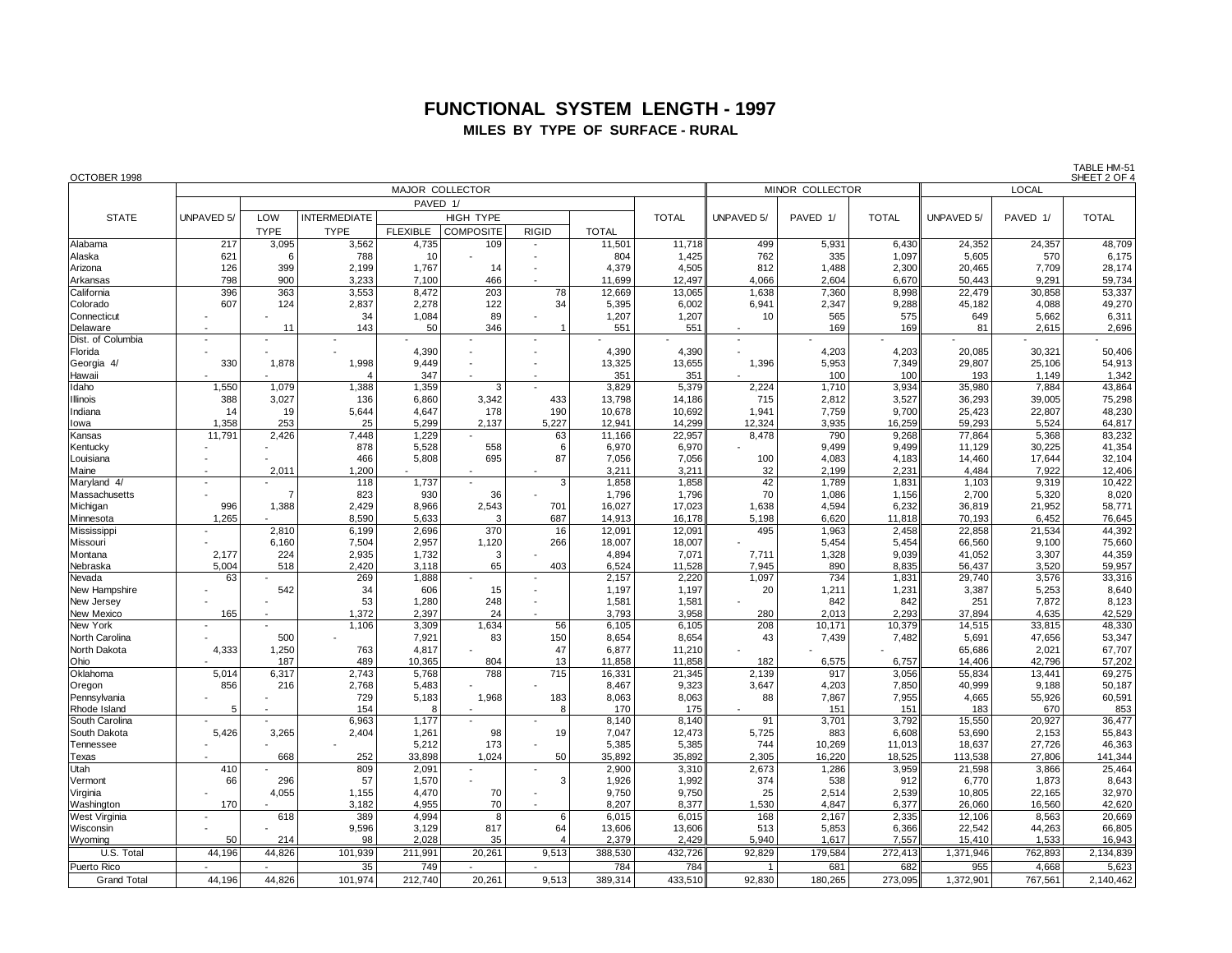## **FUNCTIONAL SYSTEM LENGTH - 1997 MILES BY TYPE OF SURFACE - RURAL**

| OCTOBER 1998                   |                   |                |                     |                 |                  |              |                 |                 |                   |                |                |                   |                  | SHEET 2 OF       |  |
|--------------------------------|-------------------|----------------|---------------------|-----------------|------------------|--------------|-----------------|-----------------|-------------------|----------------|----------------|-------------------|------------------|------------------|--|
|                                |                   |                |                     | MAJOR COLLECTOR |                  |              |                 |                 | MINOR COLLECTOR   |                | <b>LOCAL</b>   |                   |                  |                  |  |
|                                |                   |                |                     | PAVED 1/        |                  |              |                 |                 |                   |                |                |                   |                  |                  |  |
| <b>STATE</b>                   | <b>UNPAVED 5/</b> | LOW            | <b>INTERMEDIATE</b> |                 | HIGH TYPE        |              |                 | <b>TOTAL</b>    | <b>UNPAVED 5/</b> | PAVED 1/       | <b>TOTAL</b>   | <b>UNPAVED 5/</b> | PAVED 1/         | <b>TOTAL</b>     |  |
|                                |                   | <b>TYPE</b>    | <b>TYPE</b>         | <b>FLEXIBLE</b> | <b>COMPOSITE</b> | <b>RIGID</b> | <b>TOTAL</b>    |                 |                   |                |                |                   |                  |                  |  |
| Alabama                        | 217               | 3,095          | 3,562               | 4,735           | 109              |              | 11,501          | 11,718          | 499               | 5,931          | 6,430          | 24,352            | 24,357           | 48,709           |  |
| Alaska                         | 621               | -6             | 788                 | 10              |                  |              | 804             | 1,425           | 762               | 335            | 1,097          | 5,605             | 570              | 6,175            |  |
| Arizona                        | 126               | 399            | 2,199               | 1,767           | 14               |              | 4,379           | 4,505           | 812               | 1,488          | 2,300          | 20,465            | 7,709            | 28,174           |  |
| Arkansas                       | 798               | 900            | 3,233               | 7,100           | 466              |              | 11,699          | 12,497          | 4,066             | 2,604          | 6,670          | 50,443            | 9,291            | 59,734           |  |
| California                     | 396               | 363            | 3,553               | 8,472           | 203              | 78           | 12,669          | 13,065          | 1,638             | 7,360          | 8,998          | 22,479            | 30,858           | 53,337           |  |
| Colorado                       | 607               | 124            | 2,837               | 2.278           | 122              | 34           | 5,395           | 6,002           | 6,941             | 2,347          | 9,288          | 45,182            | 4,088            | 49,270           |  |
| Connecticut                    |                   |                | 34                  | 1,084           | 89               |              | 1,207           | 1,207           | 10                | 565            | 575            | 649               | 5,662            | 6,311            |  |
| Delaware                       |                   | 11             | 143                 | 50              | 346              |              | 551             | 551             |                   | 169            | 169            | 81                | 2,615            | 2,696            |  |
| Dist. of Columbia<br>Florida   |                   |                |                     |                 |                  |              | 4,390           |                 |                   | 4,203          |                |                   |                  | 50,406           |  |
| Georgia 4/                     | 330               | 1,878          | 1,998               | 4,390<br>9,449  |                  |              | 13,325          | 4,390<br>13,655 | 1,396             | 5,953          | 4,203<br>7,349 | 20,085<br>29,807  | 30,321<br>25,106 | 54,913           |  |
| Hawaii                         |                   |                | $\overline{4}$      | 347             |                  |              | 351             | 351             |                   | 100            | 100            | 193               | 1,149            | 1,342            |  |
| Idaho                          | 1,550             | 1,079          | 1,388               | 1,359           | 3                |              | 3,829           | 5,379           | 2,224             | 1,710          | 3,934          | 35,980            | 7,884            | 43,864           |  |
| <b>Illinois</b>                | 388               | 3,027          | 136                 | 6.860           | 3,342            | 433          | 13,798          | 14,186          | 715               | 2,812          | 3,527          | 36,293            | 39,005           | 75,298           |  |
| Indiana                        | 14                | 19             | 5,644               | 4,647           | 178              | 190          | 10,678          | 10,692          | 1,941             | 7,759          | 9,700          | 25,423            | 22,807           | 48,230           |  |
| lowa                           | 1,358             | 253            | 25                  | 5,299           | 2,137            | 5,227        | 12,941          | 14,299          | 12,324            | 3,935          | 16,259         | 59,293            | 5,524            | 64,817           |  |
| Kansas                         | 11,791            | 2,426          | 7,448               | 1,229           |                  | 63           | 11,166          | 22,957          | 8,478             | 790            | 9,268          | 77,864            | 5,368            | 83,232           |  |
| Kentucky                       |                   |                | 878                 | 5,528           | 558              | 6            | 6,970           | 6,970           |                   | 9,499          | 9,499          | 11,129            | 30,225           | 41,354           |  |
| Louisiana                      |                   |                | 466                 | 5,808           | 695              | 87           | 7,056           | 7,056           | 100               | 4,083          | 4,183          | 14,460            | 17,644           | 32,104           |  |
| Maine                          |                   | 2,011          | 1,200               |                 |                  |              | 3,211           | 3,211           | 32                | 2,199          | 2,231          | 4,484             | 7,922            | 12,406           |  |
| Maryland 4/                    |                   | $\overline{7}$ | 118                 | 1,737           |                  | 3            | 1,858           | 1,858           | 42<br>70          | 1,789          | 1,831          | 1,103             | 9,319            | 10,422           |  |
| Massachusetts                  | 996               | 1,388          | 823<br>2,429        | 930<br>8,966    | 36<br>2,543      | 701          | 1,796<br>16,027 | 1,796<br>17,023 | 1,638             | 1,086<br>4,594 | 1,156<br>6,232 | 2,700<br>36,819   | 5,320<br>21,952  | 8,020<br>58,771  |  |
| Michigan<br>Minnesota          | 1,265             |                | 8,590               | 5,633           | -3               | 687          | 14,913          | 16,178          | 5,198             | 6,620          | 11,818         | 70,193            | 6,452            | 76,645           |  |
| Mississippi                    |                   | 2,810          | 6,199               | 2,696           | 370              | 16           | 12,091          | 12,091          | 495               | 1,963          | 2,458          | 22,858            | 21,534           | 44,392           |  |
| Missouri                       |                   | 6,160          | 7,504               | 2,957           | 1,120            | 266          | 18,007          | 18,007          |                   | 5,454          | 5,454          | 66,560            | 9,100            | 75,660           |  |
| Montana                        | 2,177             | 224            | 2,935               | 1,732           | 3                |              | 4,894           | 7,071           | 7,711             | 1,328          | 9,039          | 41,052            | 3,307            | 44,359           |  |
| Nebraska                       | 5,004             | 518            | 2,420               | 3,118           | 65               | 403          | 6,524           | 11,528          | 7,945             | 890            | 8,835          | 56,437            | 3,520            | 59,957           |  |
| Nevada                         | 63                |                | 269                 | 1,888           |                  |              | 2,157           | 2,220           | 1,097             | 734            | 1,831          | 29,740            | 3,576            | 33,316           |  |
| New Hampshire                  |                   | 542            | 34                  | 606             | 15               |              | 1,197           | 1,197           | 20                | 1,211          | 1,231          | 3,387             | 5,253            | 8,640            |  |
| New Jersey                     |                   |                | 53                  | 1,280           | 248              |              | 1,581           | 1,581           |                   | 842            | 842            | 251               | 7,872            | 8,123            |  |
| New Mexico                     | 165               |                | 1,372               | 2,397           | 24               |              | 3,793           | 3,958           | 280               | 2,013          | 2,293          | 37,894            | 4,635            | 42,529           |  |
| New York                       |                   |                | 1,106               | 3,309           | 1,634            | 56           | 6,105           | 6,105<br>8,654  | 208               | 10,171         | 10,379         | 14,515            | 33,815           | 48,330           |  |
| North Carolina<br>North Dakota | 4,333             | 500<br>1,250   | 763                 | 7,921<br>4,817  | 83               | 150<br>47    | 8,654<br>6,877  | 11,210          | 43                | 7,439          | 7,482          | 5,691<br>65,686   | 47,656<br>2,021  | 53,347<br>67,707 |  |
| Ohio                           |                   | 187            | 489                 | 10,365          | 804              | 13           | 11,858          | 11,858          | 182               | 6,575          | 6,757          | 14,406            | 42,796           | 57,202           |  |
| Oklahoma                       | 5.014             | 6,317          | 2,743               | 5,768           | 788              | 715          | 16,331          | 21,345          | 2,139             | 917            | 3,056          | 55,834            | 13,441           | 69,275           |  |
| Oregon                         | 856               | 216            | 2,768               | 5,483           |                  |              | 8,467           | 9,323           | 3,647             | 4,203          | 7,850          | 40,999            | 9,188            | 50,187           |  |
| Pennsylvania                   |                   |                | 729                 | 5,183           | 1,968            | 183          | 8,063           | 8,063           | 88                | 7,867          | 7,955          | 4,665             | 55,926           | 60,591           |  |
| Rhode Island                   | 5                 |                | 154                 | -8              |                  | 8            | 170             | 175             |                   | 151            | 151            | 183               | 670              | 853              |  |
| South Carolina                 |                   |                | 6,963               | 1,177           |                  |              | 8,140           | 8,140           | 91                | 3,701          | 3,792          | 15,550            | 20,927           | 36,477           |  |
| South Dakota                   | 5.426             | 3,265          | 2,404               | 1,261           | 98               | 19           | 7,047           | 12,473          | 5,725             | 883            | 6,608          | 53,690            | 2,153            | 55,843           |  |
| Tennessee                      |                   |                |                     | 5,212           | 173              |              | 5,385           | 5,385           | 744               | 10,269         | 11,013         | 18,637            | 27,726           | 46,363           |  |
| Texas                          |                   | 668            | 252                 | 33,898          | 1.024            | 50           | 35,892          | 35,892          | 2,305             | 16,220         | 18,525         | 113,538           | 27,806           | 141,344          |  |
| Utah                           | 410               |                | 809                 | 2,091           | $\blacksquare$   | 3            | 2,900           | 3,310           | 2,673             | 1,286          | 3,959          | 21,598            | 3,866            | 25,464           |  |
| Vermont<br>Virginia            | 66                | 296<br>4,055   | 57<br>1,155         | 1,570<br>4,470  | 70               |              | 1,926<br>9,750  | 1,992<br>9,750  | 374<br>25         | 538<br>2,514   | 912<br>2,539   | 6,770<br>10,805   | 1,873<br>22,165  | 8,643<br>32,970  |  |
| Washington                     | 170               |                | 3,182               | 4,955           | 70               |              | 8,207           | 8,377           | 1,530             | 4,847          | 6,377          | 26,060            | 16,560           | 42,620           |  |
| West Virginia                  |                   | 618            | 389                 | 4,994           | 8                | 6            | 6,015           | 6,015           | 168               | 2,167          | 2,335          | 12,106            | 8,563            | 20,669           |  |
| Wisconsin                      |                   |                | 9,596               | 3,129           | 817              | 64           | 13,606          | 13,606          | 513               | 5,853          | 6,366          | 22,542            | 44,263           | 66,805           |  |
| Wyoming                        | 50                | 214            | 98                  | 2,028           | 35               |              | 2,379           | 2,429           | 5,940             | 1,617          | 7,557          | 15,410            | 1,533            | 16,943           |  |
| U.S. Total                     | 44,196            | 44,826         | 101,939             | 211,991         | 20,261           | 9,513        | 388,530         | 432,726         | 92,829            | 179,584        | 272,413        | 1,371,946         | 762,893          | 2,134,839        |  |
| Puerto Rico                    |                   |                | 35                  | 749             |                  |              | 784             | 784             | $\overline{1}$    | 681            | 682            | 955               | 4,668            | 5,623            |  |
| <b>Grand Total</b>             | 44.196            | 44.826         | 101.974             | 212,740         | 20.261           | 9.513        | 389,314         | 433.510         | 92,830            | 180,265        | 273.095        | 1,372,901         | 767,561          | 2,140,462        |  |

TABLE HM-51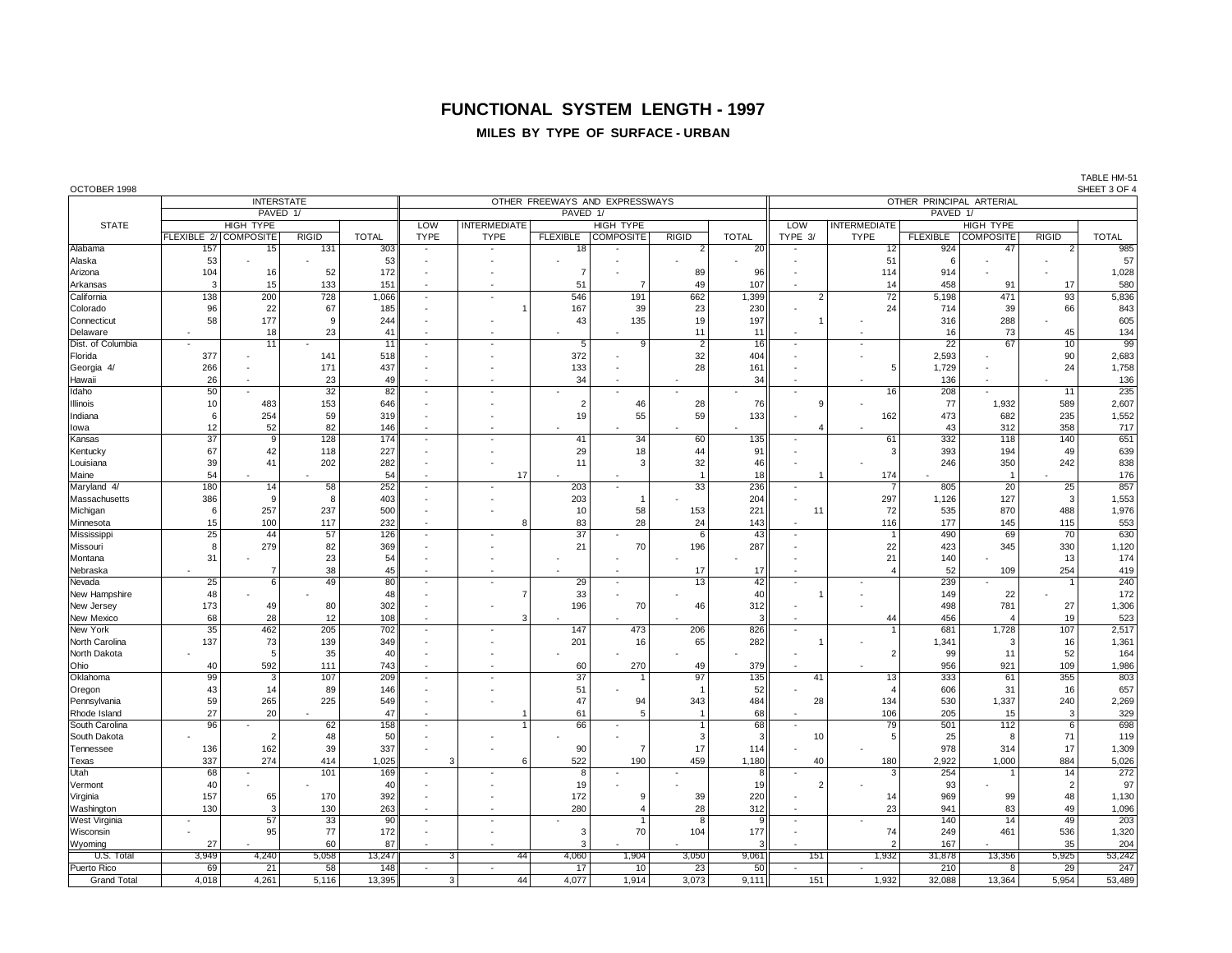# **FUNCTIONAL SYSTEM LENGTH - 1997**

### **MILES BY TYPE OF SURFACE - URBAN**

| OCTOBER 1998 |
|--------------|
|--------------|

| OCTOBER 1998       |                       |                   |              |                 |                          |                          |                 |                                |                |                          |                          |                          |                 |                          |                 | SHEET 3 OF 4 |  |  |
|--------------------|-----------------------|-------------------|--------------|-----------------|--------------------------|--------------------------|-----------------|--------------------------------|----------------|--------------------------|--------------------------|--------------------------|-----------------|--------------------------|-----------------|--------------|--|--|
|                    |                       | <b>INTERSTATE</b> |              |                 |                          |                          |                 | OTHER FREEWAYS AND EXPRESSWAYS |                | OTHER PRINCIPAL ARTERIAL |                          |                          |                 |                          |                 |              |  |  |
|                    |                       | PAVED 1/          |              |                 |                          |                          | PAVED 1/        |                                |                | PAVED 1/                 |                          |                          |                 |                          |                 |              |  |  |
| <b>STATE</b>       |                       | <b>HIGH TYPE</b>  |              |                 | LOW                      | <b>INTERMEDIATE</b>      |                 | <b>HIGH TYPE</b>               |                |                          | LOW                      | <b>INTERMEDIATE</b>      |                 | <b>HIGH TYPE</b>         |                 |              |  |  |
|                    | FLEXIBLE 2/ COMPOSITE |                   | <b>RIGID</b> | <b>TOTAL</b>    | <b>TYPE</b>              | <b>TYPE</b>              |                 | FLEXIBLE COMPOSITE             | <b>RIGID</b>   | <b>TOTAL</b>             | TYPE 3/                  | <b>TYPE</b>              | <b>FLEXIBLE</b> | <b>COMPOSITE</b>         | <b>RIGID</b>    | <b>TOTAL</b> |  |  |
| Alabama            | 157                   | 15                | 131          | 303             |                          |                          | 18              |                                | 2              | 20                       |                          | 12                       | 924             | 47                       | $\overline{2}$  | 985          |  |  |
| Alaska             | 53                    |                   |              | 53              |                          |                          |                 |                                |                |                          |                          | 51                       | 6               |                          |                 | 57           |  |  |
|                    |                       |                   |              |                 |                          |                          |                 |                                |                |                          |                          |                          |                 |                          |                 |              |  |  |
| Arizona            | 104                   | 16                | 52           | 172             |                          |                          | $\overline{7}$  |                                | 89             | 96                       |                          | 114                      | 914             |                          |                 | 1,028        |  |  |
| Arkansas           | 3                     | 15                | 133          | 151             | $\overline{\phantom{a}}$ | ٠.                       | 51              | 7                              | 49             | 107                      |                          | 14                       | 458             | 91                       | 17              | 580          |  |  |
| California         | 138                   | 200               | 728          | 1,066           | $\sim$                   | $\overline{a}$           | 546             | 191                            | 662            | 1,399                    | $\overline{2}$           | $\overline{72}$          | 5,198           | 471                      | $\overline{93}$ | 5,836        |  |  |
| Colorado           | 96                    | 22                | 67           | 185             |                          |                          | 167             | 39                             | 23             | 230                      |                          | 24                       | 714             | 39                       | 66              | 843          |  |  |
| Connecticut        | 58                    | 177               | 9            | 244             |                          |                          | 43              | 135                            | 19             | 197                      |                          |                          | 316             | 288                      |                 | 605          |  |  |
| Delaware           |                       | 18                | 23           | 41              |                          |                          |                 |                                | 11             | 11                       |                          | ÷,                       | 16              | 73                       | 45              | 134          |  |  |
| Dist. of Columbia  |                       | $\overline{11}$   |              | $\overline{11}$ |                          |                          | $\overline{5}$  | $\overline{9}$                 | $\overline{2}$ | $\overline{16}$          |                          | $\sim$                   | $\overline{22}$ | $\overline{67}$          | 10              | 99           |  |  |
| Florida            | 377                   |                   | 141          | 518             |                          |                          | 372             |                                | 32             | 404                      |                          |                          | 2,593           |                          | 90              | 2,683        |  |  |
| Georgia 4/         | 266                   |                   | 171          | 437             |                          |                          | 133             |                                | 28             | 161                      |                          | 5                        | 1,729           |                          | 24              | 1,758        |  |  |
| Hawaii             | 26                    |                   | 23           | 49              |                          |                          | 34              |                                |                | 34                       |                          |                          | 136             |                          |                 | 136          |  |  |
| Idaho              | 50                    |                   | 32           | 82              |                          |                          |                 |                                |                |                          |                          | 16                       | 208             |                          | 11              | 235          |  |  |
|                    |                       |                   |              |                 |                          |                          |                 |                                |                |                          | 9                        |                          |                 |                          |                 |              |  |  |
| Illinois           | 10                    | 483               | 153          | 646             |                          |                          | $\overline{2}$  | 46                             | 28             | 76                       |                          |                          | 77              | 1,932                    | 589             | 2,607        |  |  |
| Indiana            | 6                     | 254               | 59           | 319             |                          |                          | 19              | 55                             | 59             | 133                      |                          | 162                      | 473             | 682                      | 235             | 1,552        |  |  |
| lowa               | 12                    | 52                | 82           | 146             |                          |                          |                 |                                |                |                          | 4                        |                          | 43              | 312                      | 358             | 717          |  |  |
| Kansas             | $\overline{37}$       | $\overline{9}$    | 128          | 174             | $\sim$                   | $\overline{a}$           | 41              | $\overline{34}$                | 60             | 135                      |                          | 61                       | 332             | 118                      | 140             | 651          |  |  |
| Kentucky           | 67                    | 42                | 118          | 227             |                          |                          | 29              | 18                             | 44             | 91                       |                          | ÷                        | 393             | 194                      | 49              | 639          |  |  |
| Louisiana          | 39                    | 41                | 202          | 282             |                          |                          | 11              | 3                              | 32             | 46                       |                          |                          | 246             | 350                      | 242             | 838          |  |  |
| Maine              | 54                    |                   |              | 54              |                          | 17                       |                 |                                | $\overline{1}$ | 18                       |                          | 174                      |                 | $\overline{\phantom{a}}$ |                 | 176          |  |  |
| Maryland 4/        | 180                   | 14                | 58           | 252             |                          |                          | 203             |                                | 33             | 236                      |                          | $\overline{7}$           | 805             | 20                       | 25              | 857          |  |  |
| Massachusetts      | 386                   | -9                | 8            | 403             |                          |                          | 203             |                                |                | 204                      |                          | 297                      | 1,126           | 127                      | 3               | 1,553        |  |  |
| Michigan           | 6                     | 257               | 237          | 500             |                          |                          | 10              | 58                             | 153            | 221                      | 11                       | 72                       | 535             | 870                      | 488             | 1,976        |  |  |
| Minnesota          | 15                    | 100               | 117          | 232             | $\sim$                   | 8                        | 83              | 28                             | 24             | 143                      | $\overline{\phantom{a}}$ | 116                      | 177             | 145                      | 115             | 553          |  |  |
| Mississipp         | 25                    | 44                | 57           | 126             | ÷.                       | $\overline{a}$           | 37              |                                | 6              | 43                       | $\sim$                   | $\overline{1}$           | 490             | 69                       | 70              | 630          |  |  |
| Missouri           | 8                     | 279               | 82           | 369             |                          |                          | 21              | 70                             | 196            | 287                      |                          | 22                       | 423             | 345                      | 330             | 1,120        |  |  |
| Montana            | 31                    |                   | 23           | 54              |                          |                          |                 |                                |                |                          |                          | 21                       | 140             |                          | 13              | 174          |  |  |
|                    |                       | $\overline{7}$    | 38           |                 |                          |                          |                 |                                |                | 17                       |                          | $\overline{4}$           | 52              |                          | 254             | 419          |  |  |
| Nebraska           |                       |                   |              | 45              |                          |                          |                 |                                | 17             |                          |                          |                          |                 | 109                      |                 |              |  |  |
| Nevada             | 25                    | 6                 | 49           | 80              |                          |                          | 29              |                                | 13             | 42                       |                          |                          | 239             |                          |                 | 240          |  |  |
| New Hampshire      | 48                    |                   |              | 48              |                          | 7                        | 33              |                                |                | 40                       |                          |                          | 149             | 22                       |                 | 172          |  |  |
| New Jersey         | 173                   | 49                | 80           | 302             |                          |                          | 196             | 70                             | 46             | 312                      |                          |                          | 498             | 781                      | 27              | 1,306        |  |  |
| New Mexico         | 68                    | 28                | 12           | 108             |                          | 3                        |                 |                                |                | 3                        |                          | 44                       | 456             | $\overline{4}$           | 19              | 523          |  |  |
| New York           | $\overline{35}$       | 462               | 205          | 702             |                          |                          | 147             | 473                            | 206            | 826                      | $\overline{\phantom{a}}$ |                          | 681             | 1,728                    | 107             | 2,517        |  |  |
| North Carolina     | 137                   | 73                | 139          | 349             |                          |                          | 201             | 16                             | 65             | 282                      |                          |                          | 1,341           | 3                        | 16              | 1,361        |  |  |
| North Dakota       |                       | 5                 | 35           | 40              |                          |                          |                 |                                |                |                          |                          | $\overline{2}$           | 99              | 11                       | 52              | 164          |  |  |
| Ohio               | 40                    | 592               | 111          | 743             |                          |                          | 60              | 270                            | 49             | 379                      |                          |                          | 956             | 921                      | 109             | 1,986        |  |  |
| Oklahoma           | 99                    | 3                 | 107          | 209             |                          |                          | $\overline{37}$ |                                | 97             | 135                      | 41                       | 13                       | 333             | 61                       | 355             | 803          |  |  |
| Oregon             | 43                    | 14                | 89           | 146             |                          |                          | 51              |                                |                | 52                       |                          | $\overline{\phantom{a}}$ | 606             | 31                       | 16              | 657          |  |  |
| Pennsylvania       | 59                    | 265               | 225          | 549             |                          |                          | 47              | 94                             | 343            | 484                      | 28                       | 134                      | 530             | 1,337                    | 240             | 2,269        |  |  |
| Rhode Island       | 27                    | 20                |              | 47              |                          |                          | 61              | 5                              | $\overline{1}$ | 68                       |                          | 106                      | 205             | 15                       | 3               | 329          |  |  |
| South Carolina     | 96                    |                   | 62           | 158             |                          |                          | 66              |                                | $\overline{1}$ | 68                       |                          | 79                       | 501             | 112                      | 6               | 698          |  |  |
| South Dakota       |                       | $\overline{2}$    | 48           | 50              |                          |                          |                 |                                | 3              | 3                        | 10                       | 5                        | 25              | 8                        | 71              | 119          |  |  |
| Tennessee          | 136                   | 162               | 39           | 337             |                          |                          | 90              | 7                              | 17             | 114                      |                          |                          | 978             | 314                      | 17              | 1,309        |  |  |
|                    | 337                   | 274               | 414          | 1,025           | 3                        | 6                        | 522             | 190                            | 459            | 1,180                    | 40                       | 180                      | 2,922           | 1,000                    | 884             | 5,026        |  |  |
| Texas              |                       |                   |              |                 |                          |                          |                 |                                |                |                          |                          | 3                        |                 |                          |                 |              |  |  |
| Utah               | 68                    |                   | 101          | 169             |                          |                          | 8               |                                |                | 8                        |                          |                          | 254             |                          | 14              | 272          |  |  |
| Vermont            | 40                    |                   |              | 40              |                          |                          | 19              |                                |                | 19                       | $\overline{2}$           |                          | 93              |                          | $\overline{2}$  | 97           |  |  |
| Virginia           | 157                   | 65                | 170          | 392             |                          |                          | 172             | g                              | 39             | 220                      |                          | 14                       | 969             | 99                       | 48              | 1,130        |  |  |
| Washington         | 130                   | 3                 | 130          | 263             |                          |                          | 280             | $\overline{4}$                 | 28             | 312                      |                          | 23                       | 941             | 83                       | 49              | 1,096        |  |  |
| West Virginia      |                       | $\overline{57}$   | 33           | 90              |                          |                          |                 |                                | 8              | 9                        |                          |                          | 140             | 14                       | 49              | 203          |  |  |
| Wisconsin          |                       | 95                | 77           | 172             |                          |                          | 3               | 70                             | 104            | 177                      |                          | 74                       | 249             | 461                      | 536             | 1,320        |  |  |
| Wyoming            | 27                    |                   | 60           | 87              |                          |                          | 3               |                                |                | 3                        |                          | $\mathcal{P}$            | 167             |                          | 35              | 204          |  |  |
| U.S. Total         | 3,949                 | 4,240             | 5,058        | 13,247          | $\overline{3}$           | 44                       | 4,060           | 1,904                          | 3,050          | 9,061                    | 151                      | 1,932                    | 31,878          | 13,356                   | 5,925           | 53,242       |  |  |
| Puerto Rico        | 69                    | 21                | 58           | 148             |                          | $\overline{\phantom{a}}$ | 17              | 10                             | 23             | 50                       |                          | $\sim$                   | 210             | 8                        | 29              | 247          |  |  |
| <b>Grand Total</b> | 4,018                 | 4,261             | 5,116        | 13,395          | 3 <sup>1</sup>           | 44                       | 4,077           | 1,914                          | 3,073          | 9,111                    | 151                      | 1,932                    | 32,088          | 13,364                   | 5,954           | 53,489       |  |  |

TABLE HM-51<br>SHEET 3 OF 4